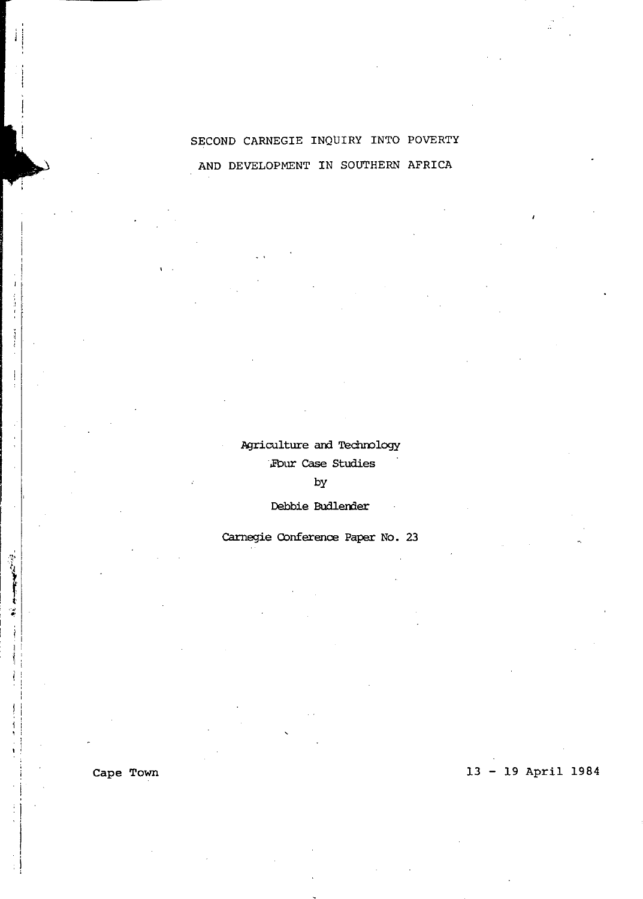# SECOND CARNEGIE INQUIRY INTO POVERTY AND DEVELOPMENT IN SOUTHERN AFRICA

# Agriculture and Technology ',Fbur case Studies

by

Debbie Budlender

Carnegie Conference Paper No. 23

Cape Town

" . .

Î  $\frac{1}{2}$ 

 $\mathbf{i}$ 

13 - 19 April 1984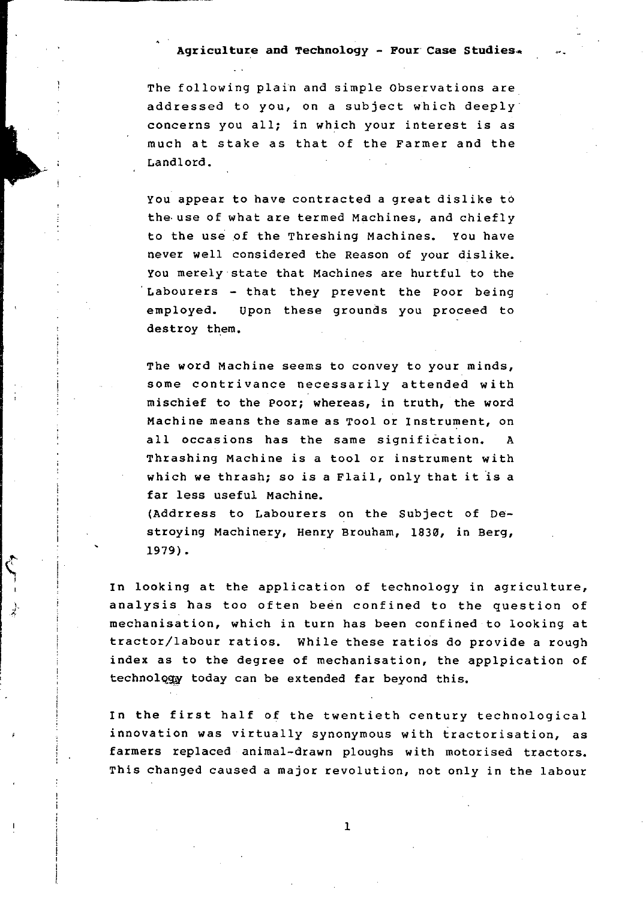## **Agriculture and Technology** - Four' Case Studies.\*

The following plain and simple Observations are addressed to you, on a subject which deeply concerns you all; in which your interest is as much at stake as that of the Farmer and the Landlord.

You appear to have contracted a great dislike to the, use of what are termed Machines, and chiefly to the use of the Threshing Machines. You have never well considered the Reason of your dislike. You merely state that Machines are hurtful to the . Labourers - that they prevent the Poor being employed. upon these grounds you proceed to destroy them.

The word Machine seems to convey to your minds, some contrivance necessarily attended with mischief to the Poor; whereas, in truth, the word Machine means the same as Tool or Instrument, on all occasions has the same signification. A Thrashing Machine is a tool or instrument with which we thrash; so is a Flail, only that it is a far less useful Machine.

(Addrress to Labourers on the Subject of Destroying Machinery, Henry Brouham, 1830, in Berg, 1979).

In looking at the application of technology in agriculture, analysis has too often been confined to the question of mechanisation, which in turn has been confined to looking at tractor/labour ratios. While these ratios do provide a rough index as to the degree of mechanisation, the applpication of technology today can be extended far beyond this.

In the first half of the twentieth century technological innovation was virtually synonymous with tractorisation, as farmers replaced animal-drawn ploughs with motorised tractors. This changed caused a major revolution, not only in the labour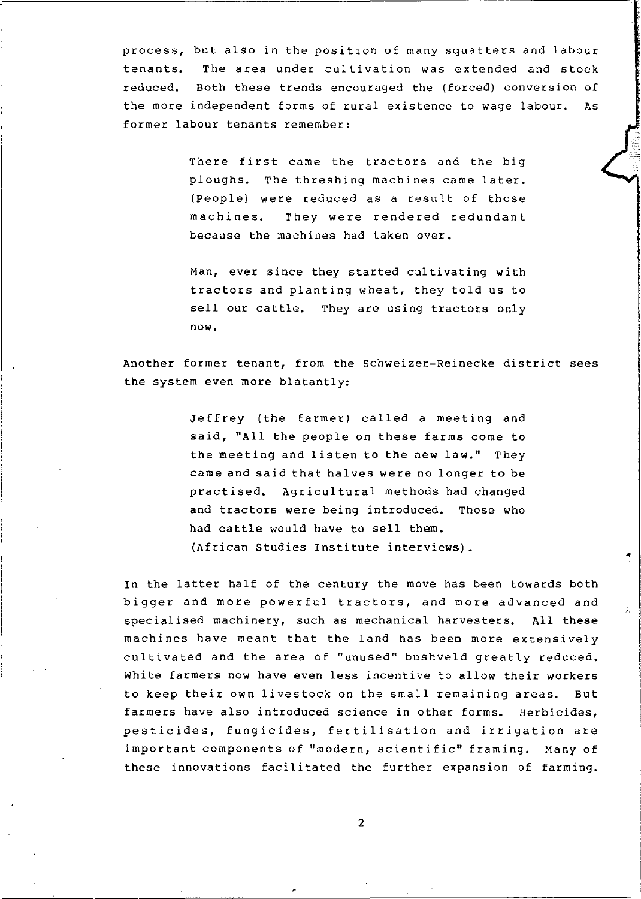process, but also *in* the position of many squatters and labour tenants. The area under cultivation was extended and stock reduced. Both these trends encouraged the (forced) conversion of the more independent forms of rural existence to wage labour. As former labour tenants remember:

> There first came the tractors and the big ploughs. The threshing machines came later. (People) were reduced as a result of those machines. They were rendered redundant because the machines had taken over.

> Man, ever since they started cultivating with tractors and planting wheat, they told us to sell our cattle. They are using tractors only now.

Another former tenant, from the Schweizer-Reinecke district sees the system even more blatantly:

> Jeffrey (the farmer) called a meeting and said, "All the people on these farms come to the meeting and listen to the new law." They came and said that halves were no longer to be practised. Agricultural methods had changed and tractors were being introduced. Those who had cattle would have to sell them. (African Studies Institute interviews).

 $\ddot{\phantom{a}}$ 

In the latter half of the century the move has been towards both bigger and more powerful tractors, and more advanced and specialised machinery, such as mechanical harvesters. All these machines have meant that the land has been more extensively cultivated and the area of "unused" bushveld greatly reduced. White farmers now have even less incentive to allow their workers to keep their own livestock on the small remaining areas. But farmers have also introduced science in other forms. Herbicides, pesticides, fungicides, fertilisation and irrigation are important components of "modern, scientific" framing. Many of these innovations facilitated the further expansion of farming.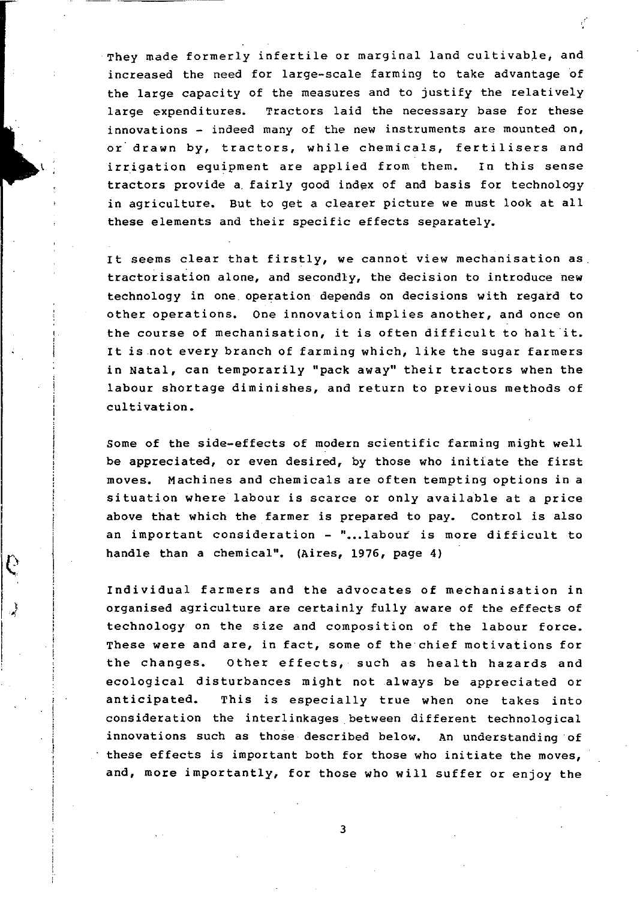They made formerly infertile or marginal land cultivable, and increased the need for large-scale farming to take advantage of the large capacity of the measures and to justify the relatively large expenditures. Tractors laid the necessary base for these innovations - indeed many of the new instruments are mounted on, or' drawn by, tractors, while chemicals, fertilisers and irrigation equipment are applied from them. In this sense tractors provide a, fairly good index of and basis for technology in agriculture. But to get a clearer picture we must look at all these elements and their specific effects separately.

It seems clear that firstly, we cannot view mechanisation as tractorisation alone, and secondly, the decision to introduce new technology in one operation depends on decisions with regard to other operations. One innovation implies another, and once on the course of mechanisation, it is often difficult to halt it. It is not every branch of farming which, like the sugar farmers in Natal, can temporarily "pack away" their tractors when the labour shoztage diminishes, and return to previous methods of cultivation.

Some of the side-effects of modern scientific farming might well be appreciated, or even desired, by those who initiate the first moves. Machines and chemicals are often tempting options in a situation where labour is scarce or only available at a price above that which the farmer is prepared to pay. Control is also an important consideration - "...labour is more difficult to handle than a chemical". (Aires, 1976, page 4)

Individual farmers and the advocates of mechanisation in organised agriculture are certainly fully aware of the effects of technology on the size and composition of the labour force. These were and are, in fact, some of the chief motivations for the changes. Other effects, such as health hazards and ecological disturbances might not always be appreciated or anticipated. This is especially true when one takes into consideration the interlinkages between different technological innovations such as those described below. An understanding of these effects is important both for those who initiate the moves, and, more importantly, for those who will suffer or enjoy the

 $\rightarrow$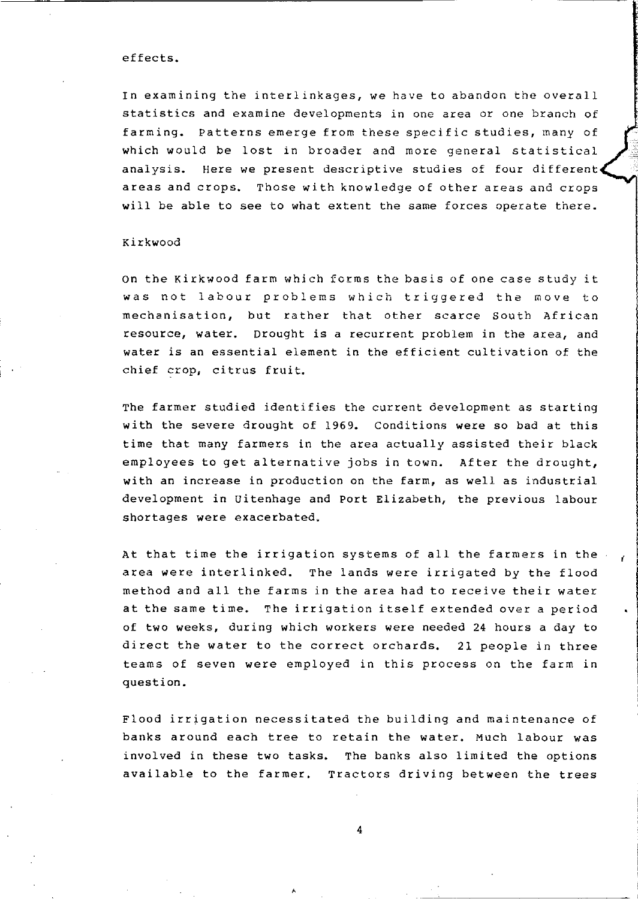#### effects.

In examining the interlinkages, we have to abandon the overall statistics and examine developments in one area or one branch of farming. Patterns emerge from these specific studies, many of which would be lost in broader and more general statistical analysis. Here we present descriptive studies of four different areas and crops. Those with knowledge of other areas and crops will be able to see to what extent the same forces operate there.

#### Kirkwood

On the Kirkwood farm which forms the basis of one case study it was not labour problems which triggered the move to mechanisation, but rather that other scarce South African resource, water. Drought is a recurrent problem in the area, and water is an essential element in the efficient cultivation of the chief crop, citrus fruit.

The farmer studied identifies the current development as starting with the severe drought of 1969. Conditions were so bad at this time that many farmers in the area actually assisted their black employees to get alternative jobs in town. After the drought, with an increase in production on the farm, as well as industrial development in Uitenhage and Port Elizabeth, the previous labour shortages were exacerbated.

At that time the irrigation systems of all the farmers in the area were interlinked. The lands were irrigated by the flood method and all the farms in the area had to receive their water at the same time. The irrigation itself extended over a period of two weeks, during which workers were needed 24 hours a day to direct the water to the correct orchards. 21 people in three teams of seven were employed in this process on the farm in question.

'<br>' I.

 $\epsilon$ 

Flood irrigation necessitated the building and maintenance of banks around each tree to retain the water. Much labour was involved in these two tasks. The banks also limited the options available to the farmer. Tractors driving between the trees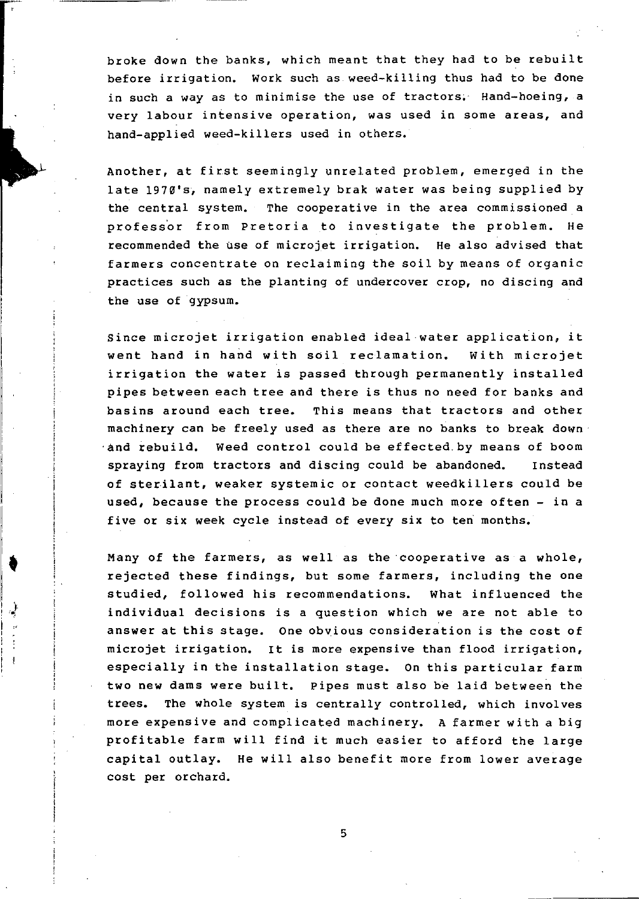broke down the banks, which meant that they had to be rebuilt before irrigation. Work such as weed-killing thus had to be done in such a way as to minimise the use of tractors. Hand-hoeing, a very labour intensive operation, was used in some areas, and hand-applied weed-killers used in others.

Another, at first seemingly unrelated problem, emerged in the late 1970's, namely extremely brak water was being supplied by the central system. The cooperative in the area commissioned a professor from Pretoria to investigate the problem. He recommended the use of microjet irrigation. He also advised that farmers concentrate on reclaiming the soil by means of organic practices such as the planting of undercover crop, no discing and the use of gypsum.

Since microjet irrigation enabled ideal water application, it went hand in hand with soil reclamation. with microjet irrigation the water is passed through permanently installed pipes between each tree and there is thus no need for banks and basins around each tree. This means that tractors and other machinery can be freely used as there are no banks to break down -and rebuild. Weed control could be effected.by means of boom spraying from tractors and discing could be abandoned. Instead of sterilant, weaker systemic or contact weedkillers could be used, because the process could be done much more often - in a five or six week cycle instead of every six to ten months.

Many of the farmers, as well as the cooperative as a whole, rejected these findings, but some farmers, including the one studied, followed his recommendations. What influenced the individual decisions is a question which we are not able to answer at this stage. One obvious consideration is the cost of microjet irrigation. It is more expensive than flood irrigation, especially in the installation stage. On this particular farm two new dams were built. Pipes must also be laid between the trees. The whole system is centrally controlled, which involves more expensive and complicated machinery. A farmer with a big profitable farm will find it much easier to afford the large capital outlay. He will also benefit more from lower average cost per orchard.

•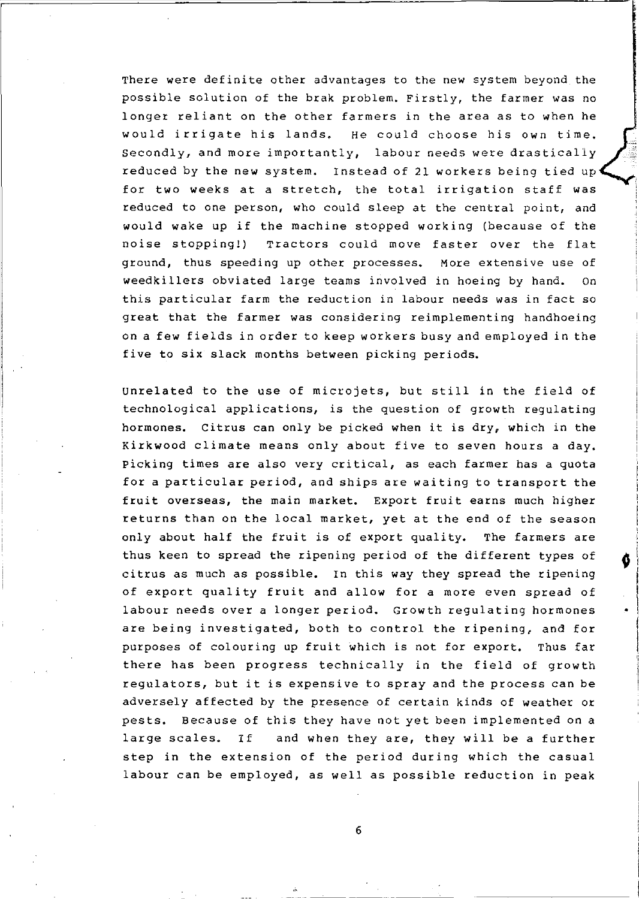There were definite other advantages to the new system beyond the possible solution of the brak problem. Firstly, the farmer was no longer reliant on the other farmers in the area as to when he would irrigate his lands. He could choose his own time. Secondly, and more importantly, labour needs were drastically reduced by the new system. Instead of 21 workers being tied up for two weeks at a stretch, the total irrigation staff was reduced to one person, who could sleep at the central point, and would wake up if the machine stopped working (because of the noise stopping!) Tractors could move faster over the flat ground, thus speeding up other processes. More extensive use of weedkillers obviated large teams involved in hoeing by hand. On this particular farm the reduction in labour needs was in fact so great that the farmer was considering reimplementing handhoeing on a few fields in order to keep workers busy and employed in the five to six slack months between picking periods.

unrelated to the use of microjets, but still in the field of technological applications, is the question of growth regulating hormones. Citrus can only be picked when it is dry, which in the Kirkwood climate means only about five to seven hours a day. picking times are also very critical, as each farmer has a quota for a particular period, and ships are waiting to transport the fruit overseas, the main market. Export fruit earns much higher returns than on the local market, yet at the end of the season only about half the fruit is of export quality. The farmers are thus keen to spread the ripening period of the different types of citrus as much as possible. In this way they spread the ripening of export quality fruit and allow for a more even spread of labour needs over a longer period. Growth regulating hormones are being investigated, both to control the ripening, and for purposes of colouring up fruit which is not for export. Thus far there has been progress technically in the field of growth regulators, but it is expensive to spray and the process can be adversely affected by the presence of certain kinds of weather or pests. Because of this they have not yet been implemented on a large scales. If and when they are, they will be a further step in the extension of the period during which the casual labour can be employed, as well as possible reduction in peak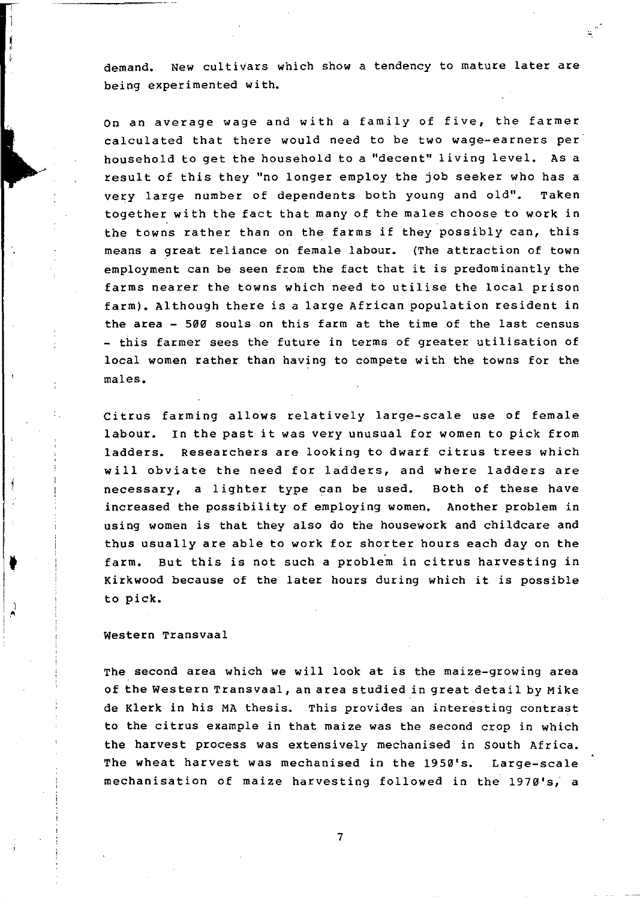demand. New cultiVars which show a tendency to mature later are being experimented with.

On an average wage and with a family of five, the farmer calculated that there would need to be two wage-earners per household to get the household to a "decent" living level. AS a result of this they "no longer employ the job seeker who has a very large number of dependents both young and old". Taken together with the fact that many of the males choose to work in the towns rather than on the farms if they possibly can, this means a great reliance on female labour. (The attraction of town employment can be seen from the fact that it *is* predominantly the farms nearer the towns which need to utilise the local prison farm). Although there is a large African population resident in the area  $-500$  souls on this farm at the time of the last census - this farmer sees the future in terms of greater utilisation of local women rather than having to compete with the towns for the males.

Citrus farming allows relatively large-scale use of female labour. In the past it was very unusual for women to pick from ladders. Researchers are looking to dwarf citrus trees which will obviate the need for ladders, and where ladders are necessary, a lighter type can be used. Both of these have increased the possibility of employing women. Another problem in using women is that they also do the housework and childcare and thus usually are able to work for shorter hours each day on the farm. But this is not such a problem in citrus harvesting in Kirkwood because of the later hours during which it is possible to pick.

#### western Transvaal

•

) ,~

ţ

The second area which we will look at is the maize-growing area of the Western Transvaal, an area studied in great detail by Mike de Klerk in his MA thesis. This provides an interesting contrast to the citrus example ih that maize was the second crop in which the harvest process was extensively mechanised in south Africa. The wheat harvest was mechanised in the 1950's. Large-scale mechanisation of maize harvesting followed in the 1970's, a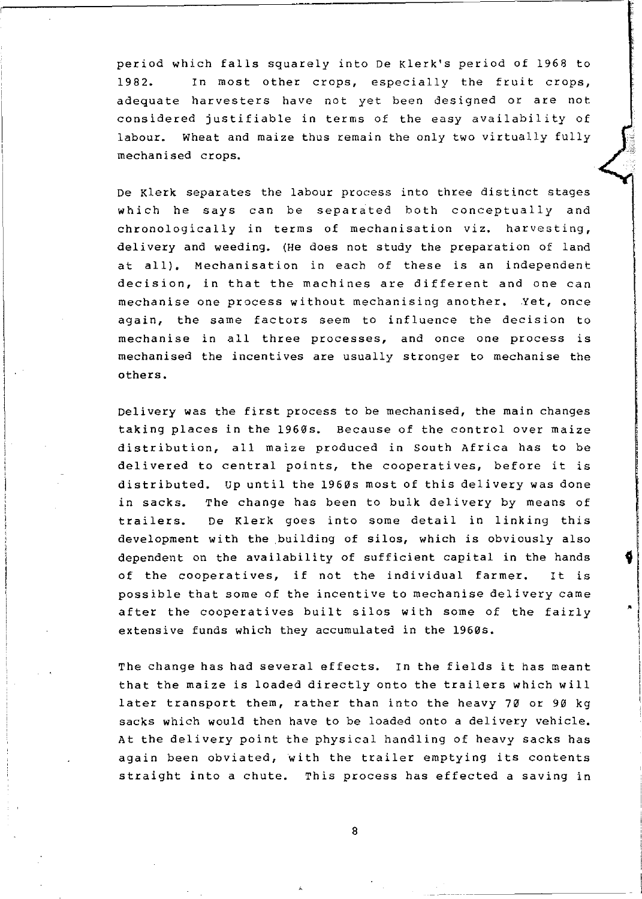period which falls squarely into De Klerk's period of 1968 to 1982. In most other crops, especially the fruit crops, adequate harvesters have not yet been designed or are not considered justifiable in terms of the easy availability of labour. Wheat and maize thus remain the only two virtually fully mechanised crops.

De Klerk separates the labour process into three distinct stages which he says can be separated both conceptually and chronologically in terms of mechanisation viz. harvesting, delivery and weeding. (He does not study the preparation of land at all). Mechanisation in each of these is an independent decision, in that the machines are different and one can mechanise one process without mechanising another. Yet, once again, the same factors seem to influence the decision to mechanise in all three processes, and once one process is mechanised the incentives are usually stronger to mechanise the others.

Delivery was the first process to be mechanised, the main changes taking places in the 1960s. Because of the control over maize distribution, all maize produced in South Africa has to be delivered to central points, the cooperatives, before it is distributed. up until the 1960s most of this delivery was done in sacks. The change has been to bulk delivery by means of trailers. De Klerk goes into some detail in linking this development with the building of silos, which is obviously also dependent on the availability of sufficient capital in the hands of the cooperatives, if not the individual farmer. It is possible that some of the incentive to mechanise delivery came after the cooperatives built silos with some of the fairly extensive funds which they accumulated in the 1960s.

The change has had several effects. In the fields it has meant that the maize is loaded directly onto the trailers which will later transport them, rather than into the heavy 70 or 90 kg sacks which would then have to be loaded onto a delivery vehicle. At the delivery point the physical handling of heavy sacks has again been obviated, with the trailer emptying its contents straight into a chute. This process has effected a saving in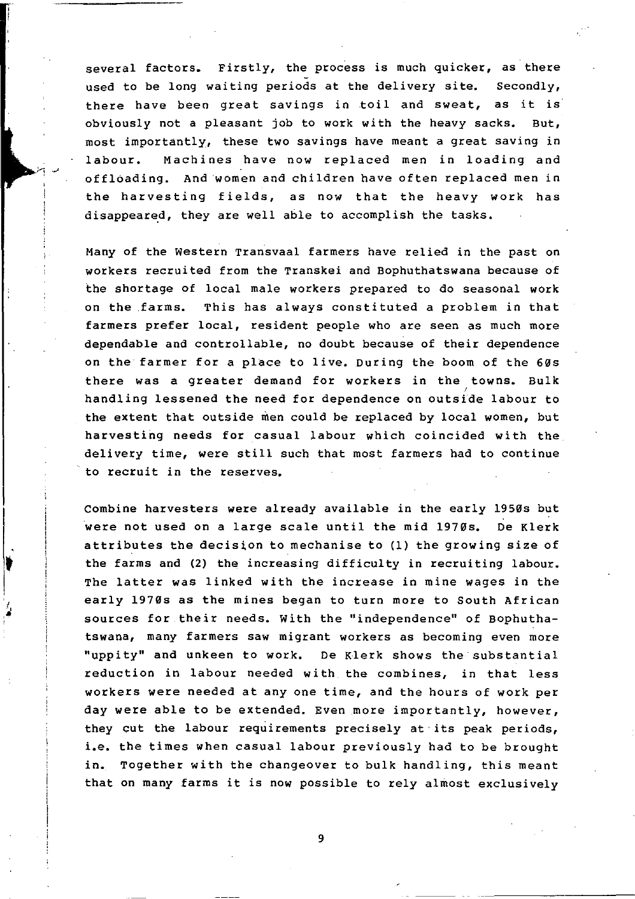several factors. Firstly, the process is much quicker, as there used to be long waiting periods at the delivery site. Secondly, there have been great savings in toil and sweat, as it is obviously not a pleasant job to work with the heavy sacks. But, most importantly, these two savings have meant a great saving in labour. Machines have now replaced men in loading and off16ading. And 'women and children have often replaced men in the harvesting fields, as now that the heavy work has disappeared, they are well able to accomplish the tasks.

Many of the western Transvaal farmers have relied in the past on workers recruited from the Transkei and Bophuthatswana because of the shortage of local male workers prepared to do seasonal work on the farms. This has always constituted a problem in that farmers prefer local, resident people who are seen as much more dependable and controllable, no doubt because of their dependence on the farmer for a place to live. During the boom of the 60s there was a greater demand for workers in the towns. Bulk handling lessened the need for dependence on outside labour to the extent that outside men could be replaced by local women, but harvesting needs for casual labour which coincided with the delivery time, were still such that most farmers had to continue to recruit in the reserves.

Combine harvesters were already available in the early 1950s but were not used on a large scale until the mid 1970s. De Klerk attributes the decision to mechanise to (1) the growing size of the farms and (2) the increasing difficulty in recruiting labour. The latter was linked with the increase in mine wages in the early 1970s as the mines began to turn more to South African sources for their needs. with the "independence" of Bophuthatswana, many farmers saw migrant workers as becoming even more "uppity" and unkeen to work. De Klerk shows the substantial reduction in labour needed with the combines, in that less workers were needed at anyone time, and the hours of work per day were able to be extended. Even more importantly, however, they cut the labour requirements precisely at its peak periods, i.e. the times when casual labour previously had to be brought in. Together with the changeover to bulk handling, this meant that on many farms it is now possible to rely almost exclusively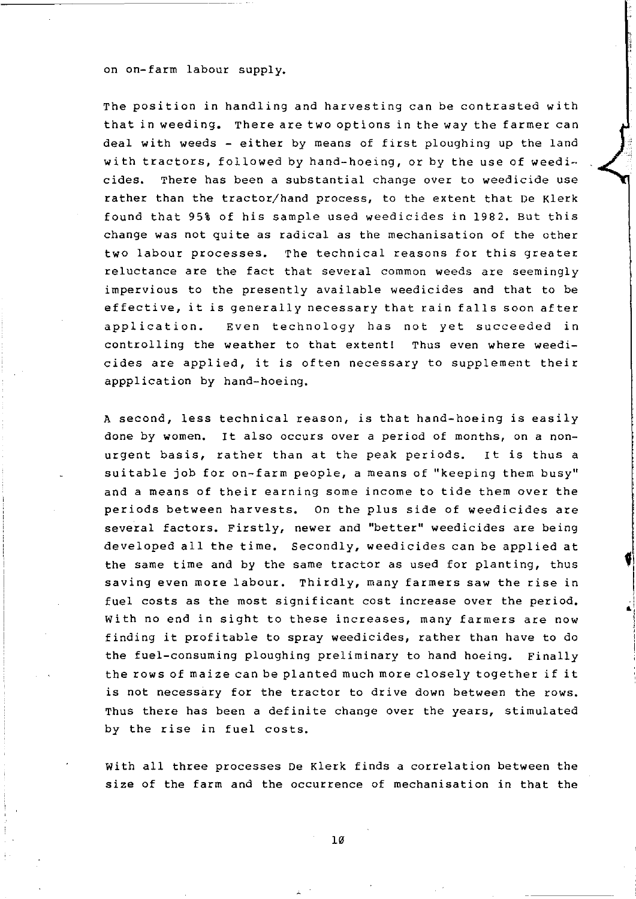#### on on-farm labour supply.

The position in handling and harvesting can be contrasted with that in weeding. There are two options in the way the farmer can deal with weeds - either by means of first ploughing up the land with tractors, followed by hand-hoeing, or by the use of weedicides. There has been a substantial change over to weedicide use rather than the tractor/hand process, to the extent that De Klerk found that 95% of his sample used weedicides in 1982. But this change was not quite as radical as the mechanisation of the other two labour processes. The technical reasons for this greater reluctance are the fact that several common weeds are seemingly impervious to the presently available weedicides and that to be effective, it is generally necessary that rain falls soon after application. Even technology has not yet succeeded in controlling the weather to that extent! Thus even where weedicides are applied, it is often necessary to supplement their appplication by hand-hoeing.

A second, less technical reason, is that hand-hoeing is easily done by women. It also occurs over a period of months, on a nonurgent basis, rather than at the peak periods. It is thus a suitable job for on-farm people, a means of "keeping them busy" and a means of their earning some income to tide them over the periods between harvests. On the plus side of weedicides are several factors. Firstly, newer and "better" weedicides are being developed all the time. Secondly, weedicides can be applied at the same time and by the same tractor as used for planting, thus saving even more labour. Thirdly, many farmers saw the rise in fuel costs as the most significant cost increase over the period. with no end in sight to these increases, many farmers are now finding it profitable to spray weedicides, rather than have to do the fuel-consuming ploughing preliminary to hand hoeing. Finally the rows of maize can be planted much more closely together if it is not necessary for the tractor to drive down between the rows. Thus there has been a definite change over the years, stimulated by the rise in fuel costs.

f

 $^{\bullet}$ 

with all three processes De Klerk finds a correlation between the size of the farm and the occurrence of mechanisation in that the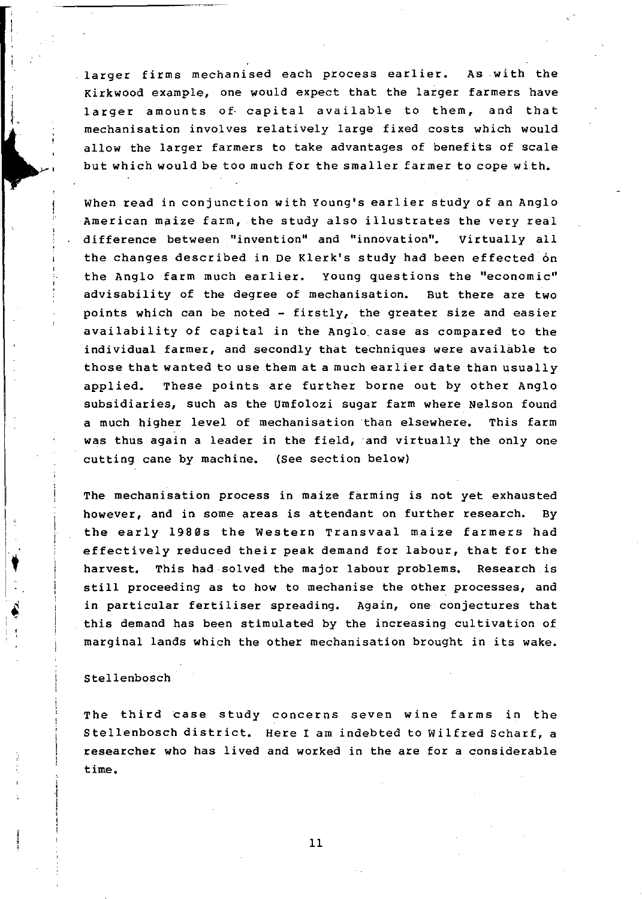larger firms mechanised each process earlier. As with the Kirkwood example, one would expect that the larger farmers have larger amounts of capital available to them, and that mechanisation involves relatively large fixed costs which would allow the larger farmers to take advantages of benefits of scale but which would be too much for the smaller farmer to cope with.

When read in conjunction with Young's earlier study of an Anglo American maize farm, the study also illustrates the very real difference between "invention" and "innovation". virtually all the changes described in De Klerk's study had been effected on the Anglo farm much earlier. young questions the "economic" advisability of the degree of mechanisation. But there are two points which can be noted - firstly, the greater size and easier availability of capital in the Anglo case as compared to the individual farmer, and secondly that techniques were available to those that wanted to use them at a much earlier date than usually applied. These points are further borne out by other Anglo subsidiaries, such as the Umfolozi sugar farm where Nelson found a much higher level of mechanisation than elsewhere. This farm was thus again a leader in the field, and virtually the only one cutting cane by machine. (See section below)

The mechanisation process in maize farming is not yet exhausted however, and in some areas is attendant on further research. By the early 1980s the Western Transvaal maize farmers had effectively reduced their peak demand for labour, that for the harvest. This had solved the major labour problems. Research is still proceeding as to how to mechanise the other processes, and in particular fertiliser spreading. Again, one conjectures that this demand has been stimulated by the increasing cultivation of marginal lands which the other mechanisation brought in its wake.

### Stellenbosch

 $\mathbf{L}$ 

1

The third case study concerns seven wine farms in the Stellenbosch district. Here I am indebted to Wilfred Scharf, a researcher who has lived and worked in the are for a considerable time.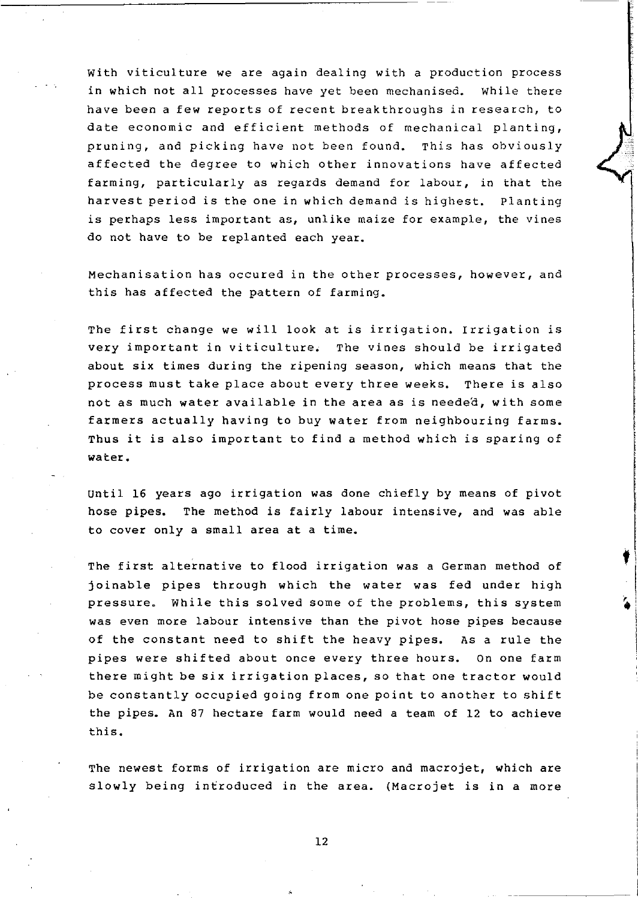with viticulture we are again dealing with a production process in which not all processes have yet been mechanised. While there have been a few reports of recent breakthroughs in research, to date economic and efficient methods of mechanical planting, pruning, and picking have not been found. This has obviously affected the degree to which other innovations have affected farming, particularly as regards demand for labour, in that the harvest period is the one in which demand is highest. Planting is perhaps less important as, unlike maize for example, the vines do not have to be replanted each year.

Mechanisation has occured in the other processes, however, and this has affected the pattern of farming.

The first change we will look at is irrigation. Irrigation is very important in viticulture. The vines should be irrigated about six times during the ripening season, which means that the process must take place about every three weeks. There is also not as much water available in the area as is needed, with some farmers actually having to buy water from neighbouring farms. Thus it is also important to find a method which is sparing of water.

until 16 years ago irrigation was done chiefly by means of pivot hose pipes. The method is fairly labour intensive, and was able to cover only a small area at a time.

t

The first alternative to flood irrigation was a German method of joinable pipes through which the water was fed under high pressure. While this solved some of the problems, this system was even more labour intensive than the pivot hose pipes because of the constant need to shift the heavy pipes. As a rule the pipes were shifted about once every three hours. On one farm there might be six irrigation places, so that one tractor would be constantly occupied going from one point to another to shift the pipes. An 87 hectare farm would need a team of 12 to achieve this.

The newest forms of irrigation are micro and macrojet, which are slowly being introduced in the area. (Macrojet is in a more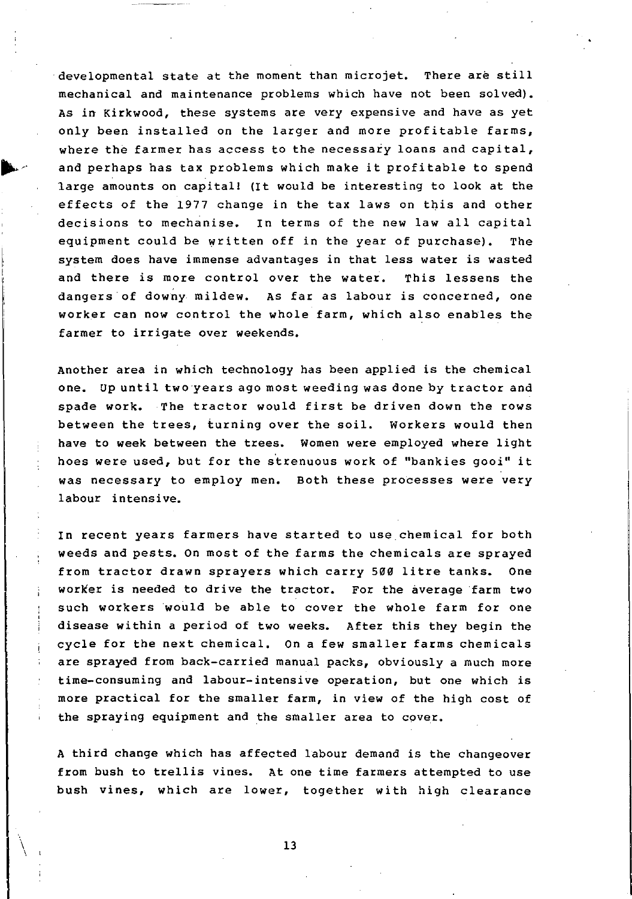developmental state at the moment than microjet. There are still mechanical and maintenance problems which have not been solved). As in Kirkwood, these systems are very expensive and have as yet only been installed on the larger and more profitable farms, where the farmer has access to the necessary loans and capital, and perhaps has tax problems which make it profitable to spend large amounts on capital! (It would be interesting to look at the effects of the 1977 change in the tax laws on this and other decisions to mechanise. In terms of the new law all capital equipment could be written off in the year of purchase). The system does have immense advantages in that less water is wasted and there is more control over the water. This lessens the dangers of dow~y mildew. AS far as labour *is* concerned, one worker can now control the whole farm, which also enables the farmer to irrigate over weekends.

Another area in which technology has been applied is the chemical one. Up until two years ago most weeding was done by tractor and spade work. The tractor would first be driven down the rows between the trees, turning over the soil. Workers would then have to week between the trees. Women were employed where light hoes were used, but for the strenuous work of "bankies gooi" it was necessary to employ men. Both these processes were very labour intensive.

In recent years farmers have started to use chemical for both weeds and pests. On most of the farms the chemicals are sprayed from tractor drawn sprayers which carry 500 litre tanks. One worker is needed to drive the tractor. For the average farm two such workers would be able to cover the whole farm for one disease within a period of two weeks. After this they begin the cycle for the next chemical. On a few smaller farms chemicals are sprayed from back-carried manual packs, obviously a much more time-consuming and labour-intensive operation, but one which is more practical for the smaller farm, in view of the high cost of the spraying equipment and the smaller area to cover.

A third change which has affected labour demand is the changeover from bush to trellis vines. At one time farmers attempted to use bush vines, which are lower, together with high clearance

13

\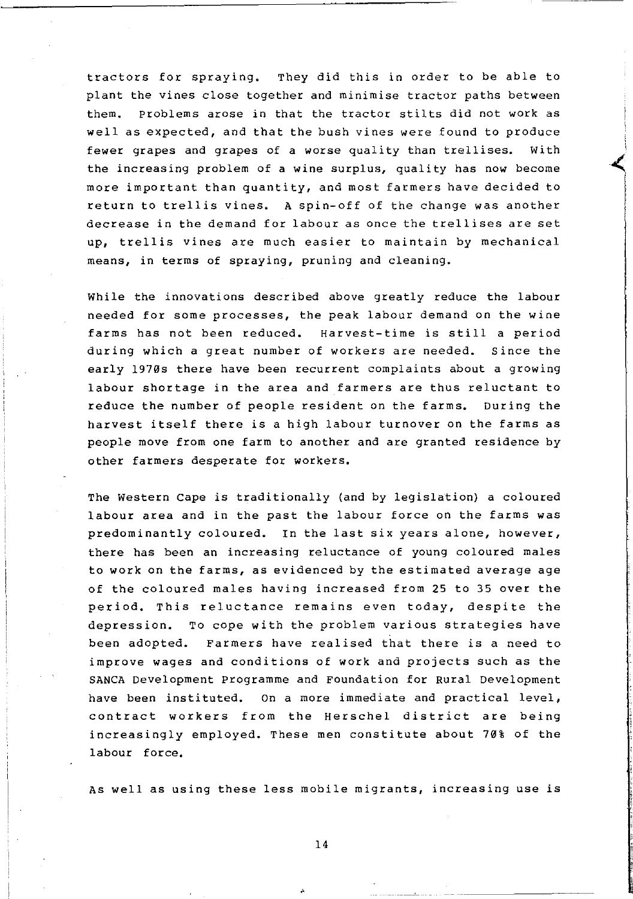tractors for spraying. They did this in order to be able to plant the vines close together and minimise tractor paths between them. problems arose in that the tractor stilts did not work as well as expected, and that the bush vines were found to produce fewer grapes and grapes of a worse quality than trellises. With the increasing problem of a wine surplus, quality has now become more important than quantity, and most farmers have decided to return to trellis vines. A spin-off of the change was another decrease in the demand for labour as once the trellises are set up, trellis vines are much easier to maintain by mechanical means, in terms of spraying, pruning and cleaning.

While the innovations described above greatly reduce the labour needed for some processes, the peak labour demand on the wine farms has not been reduced. Harvest-time is still a period during which a great number of workers are needed. Since the early 1970s there have been recurrent complaints about a growing labour shortage in the area and farmers are thus reluctant to reduce the number of people resident on the farms. During the harvest itself there is a high labour turnover on the farms as people move from one farm to another and are granted residence by other farmers desperate for workers.

The Western cape is traditionally (and by legislation) a coloured labour area and in the past the labour force on the farms was predominantly coloured. In the last six years alone, however, there has been an increasing reluctance of young coloured males to work on the farms, as evidenced by the estimated average age of the coloured males having increased from 25 to 35 over the period. This reluctance remains even today, despite the depression. To cope with the problem various strategies have been adopted. Farmers have realised that there is a need to improve wages and conditions of work and projects such as the SANCA Development Programme and Foundation for Rural Development have been instituted. On a more immediate and practical level, contract workers from the Herschel district are being increasingly employed. These men constitute about 70% of the labour force.

As well as using these less mobile migrants, increasing use is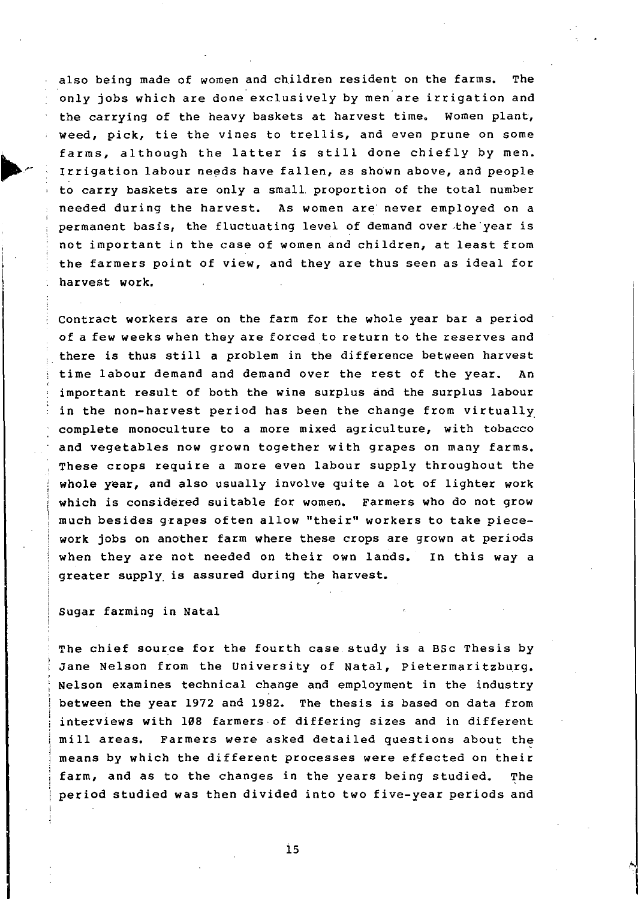also being made of women and children resident on the farms. The only jobs which are done"exclusively by men are irrigation and the carrying of the heavy baskets at harvest time. women plant, weed, pick, tie the vines to trellis, and even prune on some farms, although the latter is still done chiefly by men. Irrigation labour needs have fallen, as shown above, and people to carry baskets are only a smalL proportion of the total number needed during the harvest. As women are never employed on a permanent basis, the fluctuating level of demand over the year is not important in the case of women and children, at least from the farmers point of view, and they are thus seen as ideal for harvest work.

Contract workers are on the farm for the whole year bar a period of a few weeks when they are forced to return to the reserves and there is thus still a problem in the difference between harvest time labour demand and demand over the rest of the year. An important result of both the wine surplus and the surplus labour in the non-harvest period has been the change from virtually complete monoculture to a more mixed agriculture, with tobacco and vegetables now grown together with grapes on many farms. These crops require a more even labour supply throughout the whole year, and also usually involve quite a lot of lighter work which is considered suitable for women. Farmers who do not grow much besides gzapes often allow "their" workers to take piecework jobs on another farm where these crops are grown at periods when they are not needed on their own lands. In this way a greater supply is assured during the harvest.

## Sugar farming in Natal

The chief source for the fourth case study is a BSc Thesis by Jane Nelson from the University of Natal, pietermaritzburg. Nelson examines technical change and employment in the industry between the year 1972 and 1982. The thesis is based on data from interviews with 108 farmers of differing sizes and in different mill areas. Farmers were asked detailed questions about the means by which the different processes were effected on their farm, and as to the changes in the years being studied. The period studied was then divided into two five-year periods and

is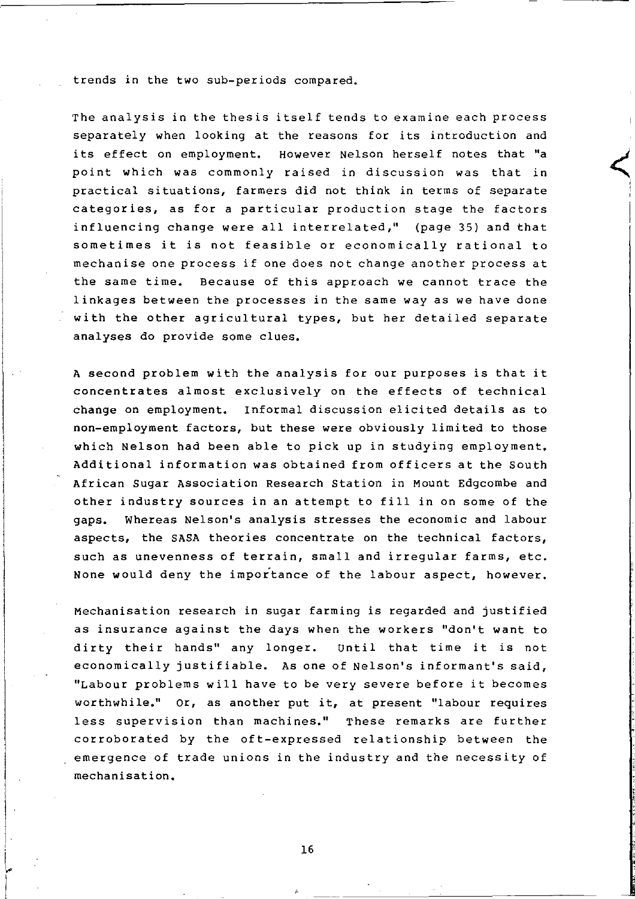trends in the two sub-periods compared.

The analysis in the thesis itself tends to examine each process separately when looking at the reasons for its introduction and its effect on employment. However Nelson herself notes that "a point which was commonly raised in discussion was that in practical situations, farmers did not think in terms of separate categories, as for a particular production stage the factors influencing change were all interrelated," (page 35) and that sometimes it is not feasible or economically rational to mechanise one process if one does not change another process at the same time. Because of this approach we cannot trace the linkages between the processes in the same way as we have done with the other agricultural types, but her detailed separate analyses do provide some clues.

A second problem with the analysis for our purposes is that it concentrates almost exclusively on the effects of technical change on employment. Informal discussion elicited details as to non-employment factors, but these were obviously limited to those which Nelson had been able to pick up in studying employment. Additional information was obtained from officers at the South African Sugar Association Research Station in Mount Edgcombe and other industry sources in an attempt to fill in on some of the gaps. Whereas Nelson's analysis stresses the economic and labour aspects, the SASA theories concentrate on the technical factors, such as unevenness of terrain, small and irregular farms, etc. None would deny the importance of the labour aspect, however.

Mechanisation research in sugar farming is regarded and justified as insurance against the days when the workers "don't want to dirty their hands" any longer. Until that time it is not economically justifiable. As one of Nelson's informant's said, "Labour problems will have to be very severe before it becomes worthwhile." Or, as another put it, at present "labour requires less supervision than machines." These remarks are further corroborated by the oft-expressed relationship between the emergence of trade unions in the industry and the necessity of mechanisation.

I,..  $\mathbf{I}$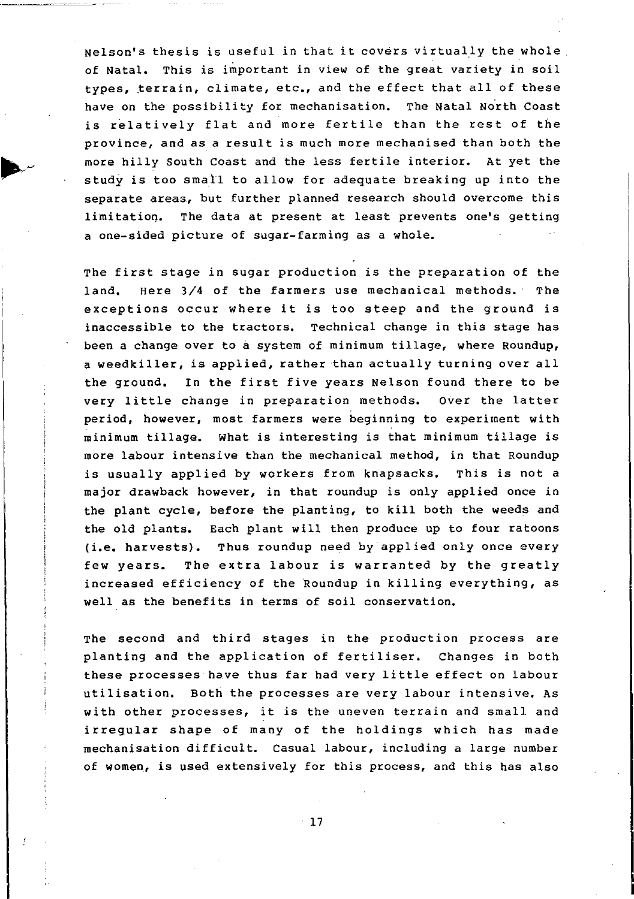Nelson's thesis is useful in that it covers virtually the whole of Natal. This is important in view of the great variety in soil types, terrain, climate, etc., and the effect that all of these have on the possibility for mechanisation. The Natal North Coast is relatively flat and more fertile than the rest of the province, and as a result is much more mechanised than both the more hilly South Coast and the less fertile interior. At yet the study is too small to allow for adequate breaking up into the separate areas, but further planned research should overcome this limitatioq. The data at present at least prevents one's getting a one-sided picture of sugar-farming as a whole.

The first stage in sugar production is the preparation of the land. Here 3/4 of the farmers use mechanical methods. The exceptions occur where it is too steep and the ground is inaccessible to the tractors. Technical change in this stage has been a change over to a system of minimum tillage, where Roundup, a weedkiller, is applied, rather than actually turning over all the ground. In the first five years Nelson found there to be very little change in preparation methods. Over the latter period, however, most farmers were beginning to experiment with minimum tillage. What is interesting is that minimum tillage is more labour intensive than the mechanical method, in that Roundup is usually applied by workers from knapsacks. This is not a major drawback however, in that roundup is only applied once in the plant cycle, before the planting, to kill both the weeds and the old plants. Each plant will then produce up to four ratoons (i.e. harvests). Thus roundup need by applied only once every few years. The extra labour is warranted by the greatly increased efficiency of the Roundup in killing everything, as well as the benefits in terms of soil conservation.

The second and third stages in the production process are planting and the application of fertiliser. Changes in both these processes have thus far had very little effect on labour utilisation. Both the processes are very labour intensive. As with other processes, it is the uneven terrain and small and irregular shape of many of the holdings which has made mechanisation difficult. Casual labour, including a large number of women, is used extensively for this process, and this has also

 $-17$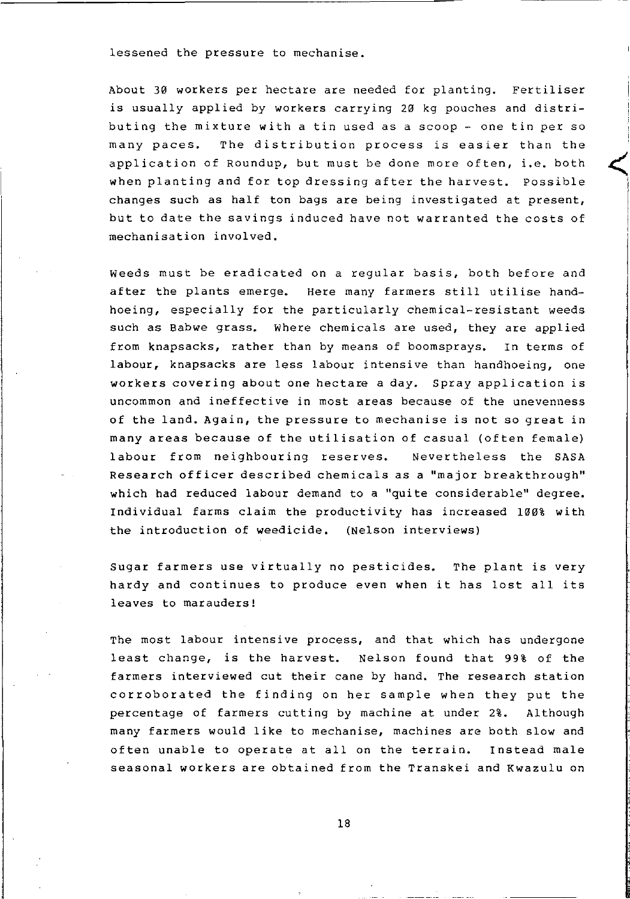lessened the pressure to mechanise.

About 30 workers per hectare are needed for planting. Fertiliser is usually applied by workers carrying 20 kg pouches and distributing the mixture with a tin used as a scoop - one tin per so many paces. The distribution process is easier than the application of Roundup, but must be done more often, i.e. both when planting and for top dressing after the harvest. possible changes such as half ton bags are being investigated at present, but to date the savings induced have not warranted the costs of mechanisation involved.

 $\leq$ 

Weeds must be eradicated on a regular basis, both before and after the plants emerge. Here many farmers still utilise handhoeing, especially for the particularly chemical-resistant weeds such as Babwe grass. Where chemicals are used, they are applied from knapsacks, rather than by means of boomsprays. In terms of labour, knapsacks are less labour intensive than handhoeing, one workers covering about one hectare a day. Spray application is uncommon and ineffective in most areas because of the unevenness of the land. Again, the pressure to mechanise is not so great in many areas because of the utilisation of casual (often female) labour from neighbouring reserves. Nevertheless the SASA Research officer described chemicals as a "major breakthrough" which had reduced labour demand to a "quite considerable" degree. Individual farms claim the productivity has increased 100% with the introduction of weedicide. (Nelson interviews)

Sugar farmers use virtually no pesticides. The plant is very hardy and continues to produce even when it has lost all its leaves to marauders!

The most labour intensive process, and that which has undergone least change, is the harvest. Nelson found that 99% of the farmers interviewed cut their cane by hand. The research station corroborated the finding on her sample when they put the percentage of farmers cutting by machine at under 2%. Although many farmers would like to mechanise, machines are both slow and often unable to operate at all on the terrain. Instead male seasonal workers are obtained from the Transkei and Kwazulu on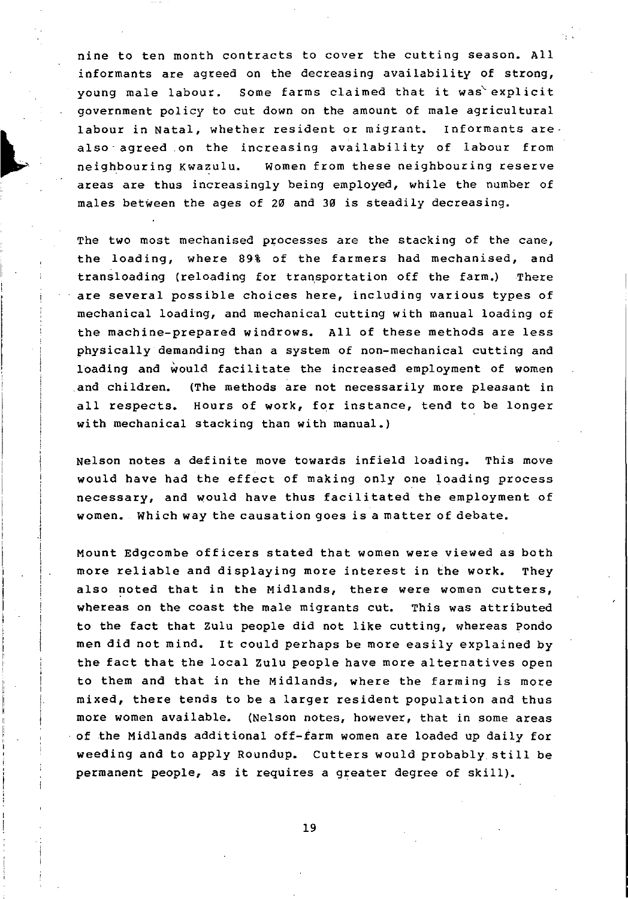nine to ten month contracts to cover the cutting season. All informants are agreed on the decreasing availability of strong, young male labour. Some farms claimed that it was explicit government policy to cut down on the amount of male agricultural labour in Natal, whether resident or migrant. Informants are. also agreed on the increasing availability of labour from neighbouring Kwazulu. women from these neighbouring reserve areas are thus increasingly being employed, while the number of males between the ages of 20 and 30 is steadily decreasing.

The two most mechanised processes are the stacking of the cane, the loading, where 89% of the farmers had mechanised, and transloading (reloading for transportation off the farm.) There are several possible choices here, including various types of mechanical loading, and mechanical cutting with manual loading of the machine-prepared windrows. All of these methods are less physically demanding than a system of non-mechanical cutting and loading and would facilitate the increased employment of women and children. (The methods are not necessarily more pleasant in all respects. Hours of work, for instance, tend to be longer with mechanical stacking than with manual.)

Nelson notes a definite move towards infield loading. This move would have had the effect of making only one loading process necessary, and would have thus facilitated the employment of women. Which way the causation goes is a matter of debate.

Mount Edgcombe officers stated that women were viewed as both more reliable and displaying more interest in the work. They also noted that in the Midlands, there were women cutters, whereas on the coast the male migrants cut. This was attributed to the fact that Zulu people did not like cutting, whereas Pondo men did not mind. It could perhaps be more easily explained by the fact that the local Zulu people have more alternatives open to them and that in the Midlands, where the farming is more mixed, there tends to be a larger resident population and thus more women available. (Nelson notes, however, that in some areas of the Midlands additional off-farm women are loaded up daily for weeding and to apply Roundup. Cutters would probably still be permanent people, as it requires a greater degree of skill).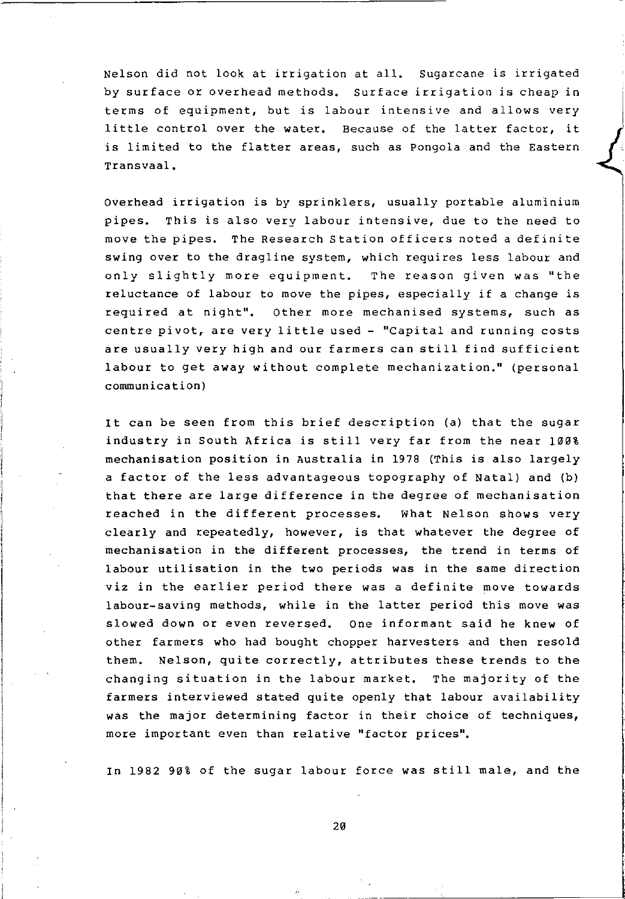Nelson did not look at irrigation at all. sugarcane is irrigated by surface or overhead methods. Surface irrigation is cheap in terms of equipment, but is labour intensive and allows very little control over the water. Because of the latter factor, it is limited to the flatter areas, such as pongola and the Eastern Transvaal.

Overhead irrigation is by sprinklers, usually portable aluminium pipes. This is also very labour intensive, due to the need to move the pipes. The Research Station officers noted a definite swing over to the dragline system, which requires less labour and only slightly more equipment. The reason given was "the reluctance of labour to move the pipes, especially if a change is required at night". Other more mechanised systems, such as centre pivot, are very little used - "Capital and running costs are usually very high and our farmers can still find sufficient labour to get away without complete mechanization." (personal communication)

It can be seen from this brief description (a) that the sugar industry in South Africa is still very far from the near 100% mechanisation position in Australia in 1978 (This is also largely a factor of the less advantageous topography of Natal) and (b) that there are large difference in the degree of mechanisation reached in the different processes. What Nelson shows very clearly and repeatedly, however, is that whatever the degree of mechanisation in the different processes, the trend in terms of labour utilisation in the two periods was in the same direction viz in the earlier period there was a definite move towards labour-saving methods, while in the latter period this move was slowed down or even reversed. One informant said he knew of other farmers who had bought chopper harvesters and then resold them. Nelson, quite correctly, attributes these trends to the changing situation in the labour market. The majority of the farmers interviewed stated quite openly that labour availability was the major determining factor in their choice of techniques, more important even than relative "factor prices".

In 1982 90% of the sugar labour force was still male, and the

--- -------~----------------'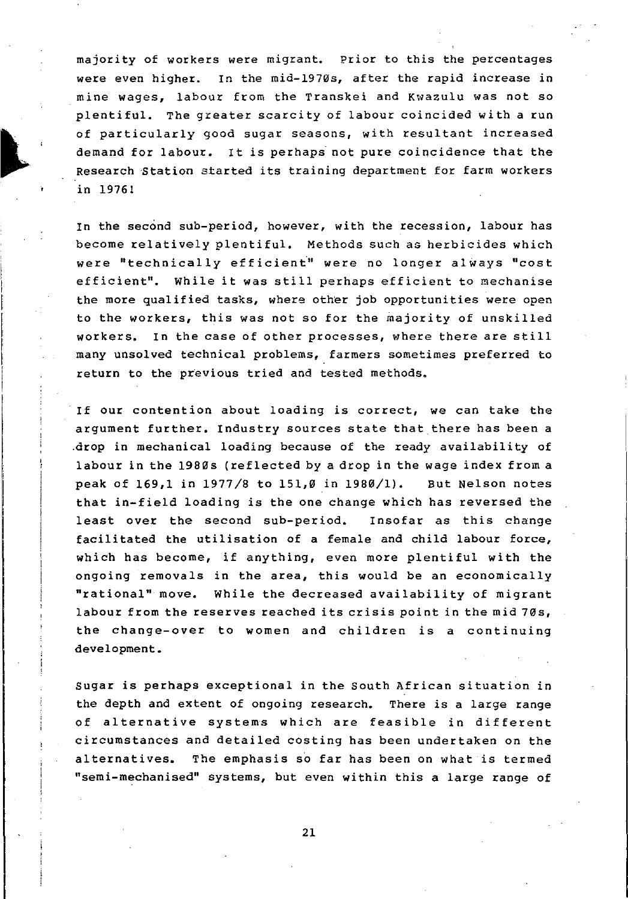majority of workers were migrant. Prior to this the percentages were even higher. In the mid-l970s, after the rapid increase in mine wages, labour from the Transkei and Kwazulu was not so plentiful. The greater scarcity of labour coincided with a run of particularly good sugar seasons, with resultant increased demand for labour. It is perhaps not pure coincidence that the Research Station started its training department for farm workers in 1976!

In the second sub-period, however, with the recession, labour has become relatively plentiful. Methods such as herbicides which were "technically efficient" were no longer always "cost efficient". While it was still perhaps efficient to mechanise the more qualified tasks, where other job opportunities were open to the workers, this was not so for the majority of unskilled workers. In the case of other processes, where there are still many unsolved technical problems, farmers sometimes preferred to return to the previous tried and tested methods.

If our contention about loading is correct, we can take the argument further. Industry sources state that there has been a .drop in mechanical loading because of the ready availability of labour in the 1980s (reflected by a drop in the wage index from a peak of  $169,1$  in  $1977/8$  to  $151,0$  in  $1980/1$ ). But Nelson notes that in-field loading is the one change which has reversed the least over the second sub-period. Insofar as this change facilitated the utilisation of a female and child labour force, which has become, if anything, even more plentiful with the ongoing removals in the area, this would be an economically "rational" move. While the decreased availability of migrant labour from the reserves reached its crisis point in the mid 70s, the change-over to women and children is a continuing development.

Sugar is perhaps exceptional in the South African situation in the depth and extent of ongoing research. There is a large range of alternative systems which are feasible in different circumstances and detailed costing has been undertaken on the alternatives. The emphasis so far has been on what is termed "semi-mechanised" systems, but even within this a large range of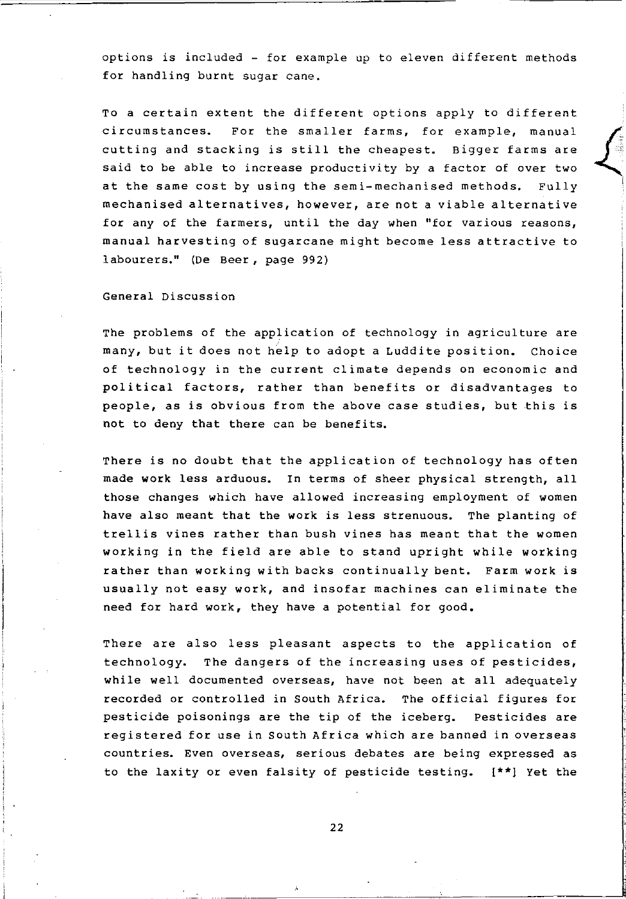options *is* included - for example up to eleven different methods for handling burnt sugar cane.

To a certain extent the different options apply to different circumstances. For the smaller farms, for example, manual cutting and stacking *is* still the cheapest. Bigger farms are said to be able to increase productivity by a factor of over two at the same cost by using the semi-mechanised methods. Fully mechanised alternatives, however, are not a viable alternative for any of the farmers, until the day when "for various reasons, manual harvesting of sugarcane might become less attractive to labourers." (De Beer, page 992)

General Discussion

The problems of the application of technology in agriculture are many, but it does not help to adopt a Luddite position. Choice of technology in the current climate depends on economic and political factors, rather than benefits or disadvantages to people, as *is* obvious from the above case studies, but this *is*  not to deny that there can be benefits.

There *is* no doubt that the application of technology has often made work less arduous. In terms of sheer physical strength, all those changes which have allowed increasing employment of women have also meant that the work is less strenuous. The planting of trellis vines rather than bush vines has meant that the women working in the field are able to stand upright while working rather than working with backs continually bent. Farm work *is*  usually not easy work, and insofar machines can eliminate the need for hard work, they have a potential for good.

There are also less pleasant aspects to the application of technology. The dangers of the increasing uses of pesticides, while well documented overseas, have not been at all adequately recorded or controlled in South Africa. The official figures for pesticide poisonings are the tip of the iceberg. Pesticides are registered for use in south Africa which are banned in overseas countries. Even overseas, serious debates are being expressed as to the laxity or even falsity of pesticide testing. **[\*\*)** Yet the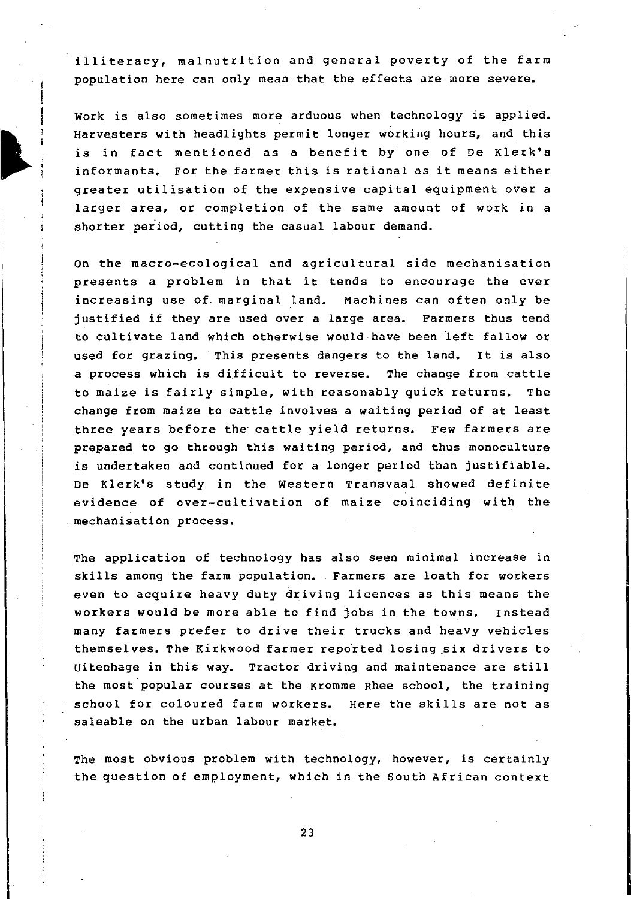illiteracy, malnutrition and general poverty of the farm population here can only mean that the effects are more severe.

Work is also sometimes more arduous when technology is applied. Harvesters with headlights permit longer working hours, and this is in fact mentioned as a benefit by one of De Klerk's informants. For the farmer this is rational as it means either greater utilisation of the expensive capital equipment over a larger area, or completion of the same amount of work in a shorter period, cutting the casual labour demand.

On the macro-ecological and agricultural side mechanisation presents a problem in that it tends to encourage the ever increasing use of marginal land. Machines can often only be justified if they are used over a large area. Farmers thus tend to cultivate land which otherwise would have been left fallow or used for grazing. This presents dangers to the land. It is also a process which is difficult to reverse. The change from cattle to maize is fairly simple, with reasonably quick returns. The change from maize to cattle involves a waiting period of at least three years before the cattle yield returns. Few farmers are prepared to go through this waiting period, and thus monoculture is undertaken and continued for a longer period than justifiable. De Klerk's study in the Western Transvaal showed definite evidence of over-cultivation of maize coinciding with the . mechanisation process.

The application of technology has also seen minimal increase in skills among the farm population. Farmers are loath for workers even to acquire heavy duty driving licences as this means the workers would be more able to find jobs in the towns. Instead many farmers prefer to drive their trucks and heavy vehicles themselves. The Kirkwood farmer reported losing \_six drivers to Uitenhage in this way. Tractor driving and maintenance are still the most popular courses at the Kromme Rhee school, the training school for coloured farm workers. Here the skills are not as saleable on the urban labour market.

The most obvious problem with technology, however, is certainly the question of employment, which in the South African context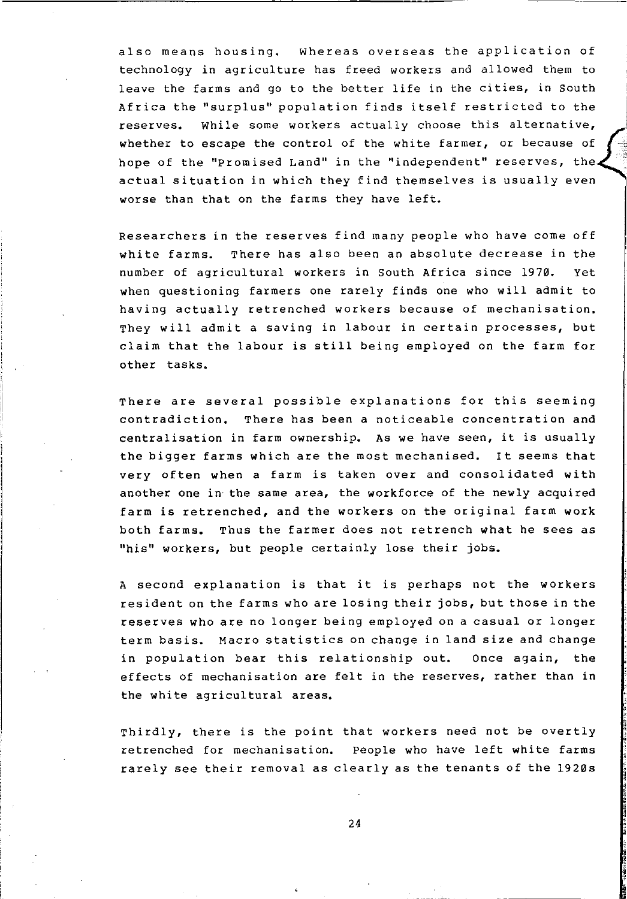also means housing. Whereas overseas the application of technology in agriculture has freed workers and allowed them to leave the farms and go to the better life in the cities, in South Africa the "surplus" population finds itself restricted to the reserves. While some workers actually choose this alternative, whether to escape the control of the white farmer, or because of hope of the "promised Land" in the "independent" reserves, the actual situation in which they find themselves is usually even worse than that on the farms they have left.

Researchers in the reserves find many people who have come off white farms. There has also been an absolute decrease in the number of agricultural workers in south Africa since 1970. Yet when questioning farmers one rarely finds one who will admit to having actually retrenched workers because of mechanisation. They will admit a saving in labour in certain processes, but claim that the labour is still being employed on the farm for other tasks.

There are several possible explanations for this seeming contradiction. There has been a noticeable concentration and centralisation in farm ownership. As we have seen, it is usually the bigger farms which are the most mechanised. It seems that very often when a farm is taken over and consolidated with another one in the same area, the workforce of the newly acquired farm is retrenched, and the workers on the original farm work both farms. Thus the farmer does not retrench what he sees as "his" workers, but people certainly lose their jobs.

A second explanation is that it is perhaps not the workers resident on the farms who are losing their jobs, but those in the reserves who are no longer being employed on a casual or longer term basis. Macro statistics on change in land size and change in population bear this relationship out. Once again, the effects of mechanisation are felt in the reserves, rather than in the white agricultural areas.

Thirdly, there is the point that workers need not be overtly retrenched for mechanisation. people who have left white farms rarely see their removal as clearly as the tenants of the 1920s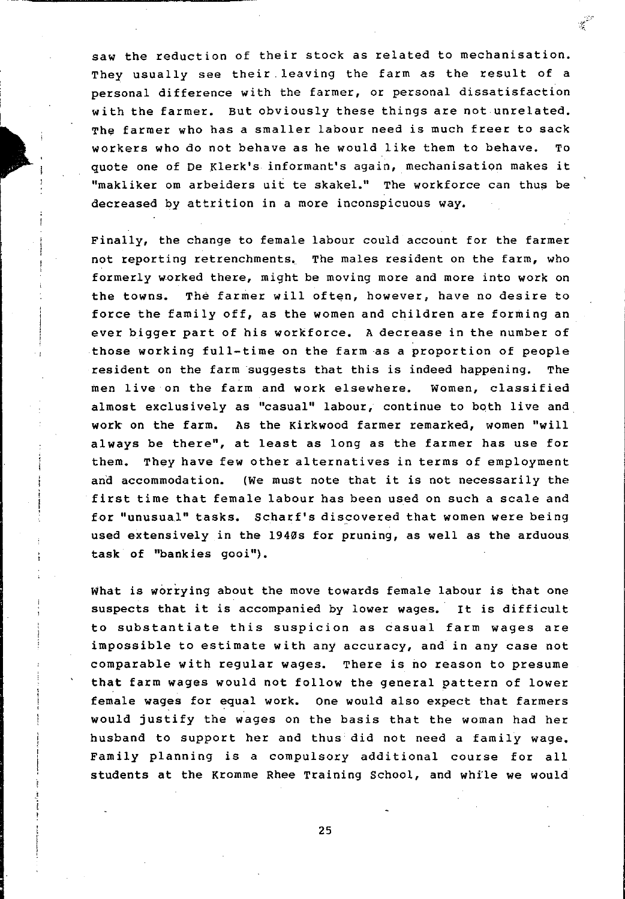saw the reduction of their stock as related to mechanisation. They usually see their leaving the farm as the result of a personal difference with the farmer, or personal dissatisfaction with the farmer. But obviously these things are not unrelated. The farmer who has a smaller labour need is much freer to sack workers who do not behave as he would like them to behave. To quote one of De Klerk's informant's again, mechanisation makes it "makliker om arbeiders uit te skakel." The workforce can thus be decreased by attrition in a more inconspicuous way.

Finally, the change to female labour could account for the farmer not reporting retrenchments. The males resident on the farm, who formerly worked there, might be moving more and more into work on the towns. The farmer will often, however, have no desire to force the family off, as the women and children are forming an ever bigger part of his workforce. A decrease in the number of those working full-time on the farm as a proportion of people resident on the farm suggests that this is indeed happening. The men live on the farm and work elsewhere. Women, classified almost exclusively as "casual" labour, continue to both live and work on the farm. As the Kirkwood farmer remarked, women "will always be there", at least as long as the farmer has use for them. They have few other alternatives in terms of employment and accommodation. (We must note that it is not necessarily the first time that female labour has been used on such a scale and for "unusua1" tasks. Scharf's discovered that women were being used extensively in the 1940s for pruning, as well as the arduous task of "bankies gooi").

What is worrying about the move towards female labour is that one suspects that it is accompanied by lower wages. It is difficult to substantiate this suspicion as casual farm wages are impossible to estimate with any accuracy, and in any case not comparable with regular wages. There is no reason to presume that farm wages would not follow the general pattern of lower female wages for equal work. One would also expect that farmers would justify the wages on the basis that the woman had her husband to support her and thus did not need a family wage. Family planning is a compulsory additional course for all students at the Kromme Rhee Training School, and whfle we would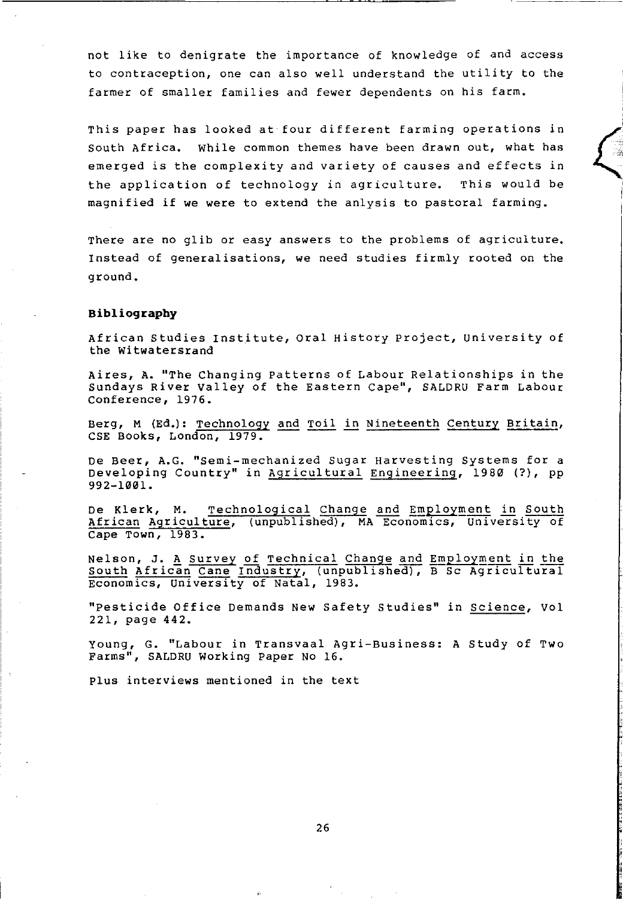not like to denigrate the importance of knowledge of and access to contraception, one can also well understand the utility to the farmer of smaller families and fewer dependents on his farm.

This paper has looked at four different farming operations in South Africa. While common themes have been drawn out, what has emerged is the complexity and variety of causes and effects in the application of technology in agriculture. This would be magnified if we were to extend the anlysis to pastoral farming.

 $\left($ .' .. , I

There are no glib or easy answers to the problems of agriculture. Instead of generalisations, we need studies firmly rooted on the ground.

#### **Bibliograpby**

African Studies Institute, Oral History project, University of the witwatersrand

Aires, A. "The Changing Patterns of Labour Relationships in the Sundays River Valley of the Eastern Cape", SALDRU Farm Labour Conference, 1976.

Berg, M (Ed.): Technology and Toil in Nineteenth Century Britain, CSE Books, London, 1979.

De Beer, A.G. "Semi-mechanized Sugar Harvesting Systems for a Developing Country" in Agricultural Engineering, 1980 (?), pp 992-1001.

De Klerk, M. <u>Technological Change and Employment in South</u><br>African Agriculture, (unpublished), MA Economics, University of cape Town, 1983.

Nelson, J. A Survey of Technical Change and Employment in the South African Cane Industry, (unpublished), B Sc Agricultural Economics, University of Natal, 1983.

"Pesticide Office Demands New Safety Studies" in Science, Vol 221, page 442.

Young, G. "Labour in Transvaal Agri-Business: A Study of Two Farms", SALDRU Working Paper No 16.

plus interviews mentioned in the text